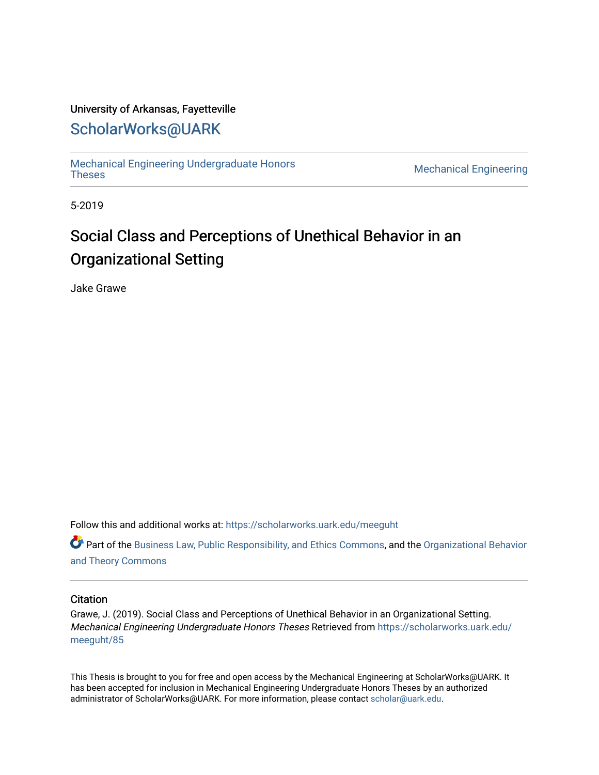### University of Arkansas, Fayetteville

# [ScholarWorks@UARK](https://scholarworks.uark.edu/)

[Mechanical Engineering Undergraduate Honors](https://scholarworks.uark.edu/meeguht)

**Mechanical Engineering** 

5-2019

# Social Class and Perceptions of Unethical Behavior in an Organizational Setting

Jake Grawe

Follow this and additional works at: [https://scholarworks.uark.edu/meeguht](https://scholarworks.uark.edu/meeguht?utm_source=scholarworks.uark.edu%2Fmeeguht%2F85&utm_medium=PDF&utm_campaign=PDFCoverPages) 

Part of the [Business Law, Public Responsibility, and Ethics Commons](http://network.bepress.com/hgg/discipline/628?utm_source=scholarworks.uark.edu%2Fmeeguht%2F85&utm_medium=PDF&utm_campaign=PDFCoverPages), and the [Organizational Behavior](http://network.bepress.com/hgg/discipline/639?utm_source=scholarworks.uark.edu%2Fmeeguht%2F85&utm_medium=PDF&utm_campaign=PDFCoverPages)  [and Theory Commons](http://network.bepress.com/hgg/discipline/639?utm_source=scholarworks.uark.edu%2Fmeeguht%2F85&utm_medium=PDF&utm_campaign=PDFCoverPages)

#### **Citation**

Grawe, J. (2019). Social Class and Perceptions of Unethical Behavior in an Organizational Setting. Mechanical Engineering Undergraduate Honors Theses Retrieved from [https://scholarworks.uark.edu/](https://scholarworks.uark.edu/meeguht/85?utm_source=scholarworks.uark.edu%2Fmeeguht%2F85&utm_medium=PDF&utm_campaign=PDFCoverPages) [meeguht/85](https://scholarworks.uark.edu/meeguht/85?utm_source=scholarworks.uark.edu%2Fmeeguht%2F85&utm_medium=PDF&utm_campaign=PDFCoverPages) 

This Thesis is brought to you for free and open access by the Mechanical Engineering at ScholarWorks@UARK. It has been accepted for inclusion in Mechanical Engineering Undergraduate Honors Theses by an authorized administrator of ScholarWorks@UARK. For more information, please contact [scholar@uark.edu](mailto:scholar@uark.edu).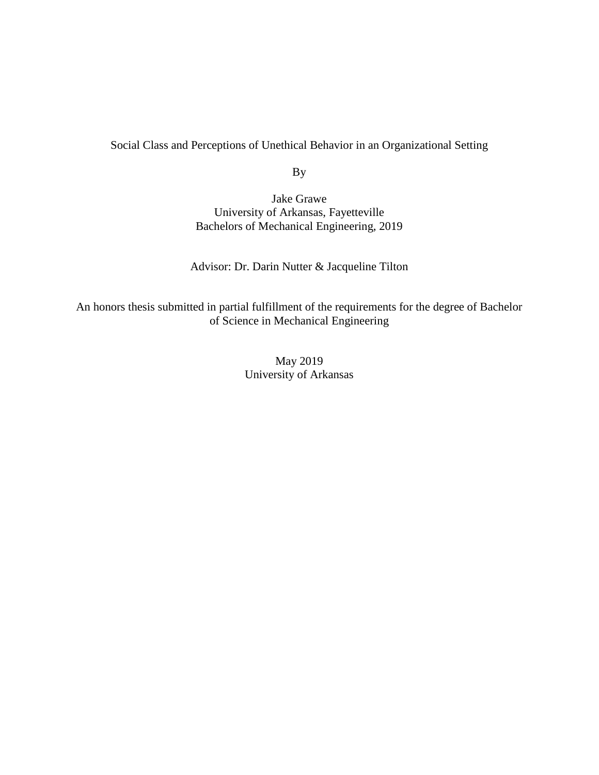Social Class and Perceptions of Unethical Behavior in an Organizational Setting

By

Jake Grawe University of Arkansas, Fayetteville Bachelors of Mechanical Engineering, 2019

Advisor: Dr. Darin Nutter & Jacqueline Tilton

An honors thesis submitted in partial fulfillment of the requirements for the degree of Bachelor of Science in Mechanical Engineering

> May 2019 University of Arkansas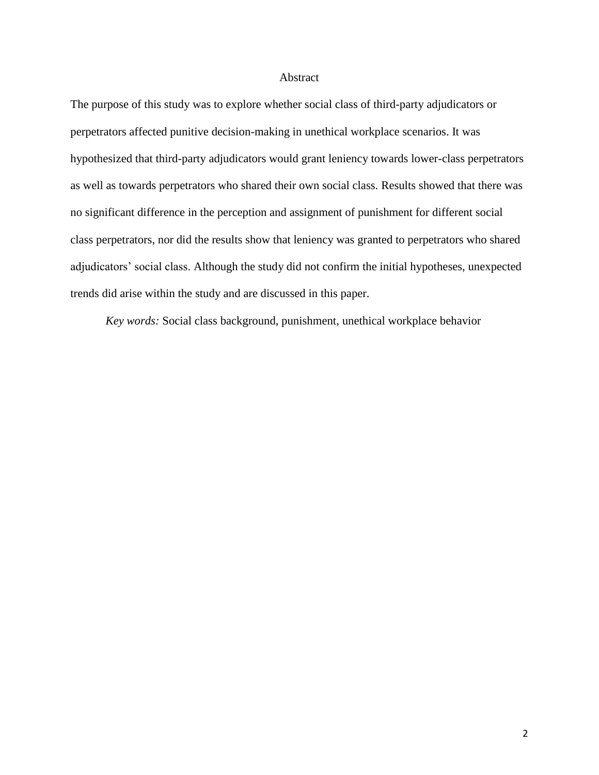#### Abstract

The purpose of this study was to explore whether social class of third-party adjudicators or perpetrators affected punitive decision-making in unethical workplace scenarios. It was hypothesized that third-party adjudicators would grant leniency towards lower-class perpetrators as well as towards perpetrators who shared their own social class. Results showed that there was no significant difference in the perception and assignment of punishment for different social class perpetrators, nor did the results show that leniency was granted to perpetrators who shared adjudicators' social class. Although the study did not confirm the initial hypotheses, unexpected trends did arise within the study and are discussed in this paper.

*Key words:* Social class background, punishment, unethical workplace behavior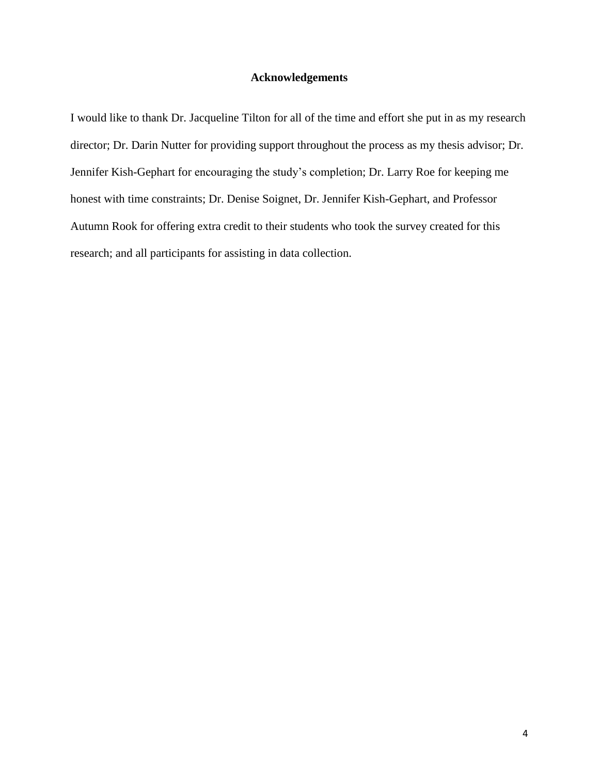#### **Acknowledgements**

I would like to thank Dr. Jacqueline Tilton for all of the time and effort she put in as my research director; Dr. Darin Nutter for providing support throughout the process as my thesis advisor; Dr. Jennifer Kish-Gephart for encouraging the study's completion; Dr. Larry Roe for keeping me honest with time constraints; Dr. Denise Soignet, Dr. Jennifer Kish-Gephart, and Professor Autumn Rook for offering extra credit to their students who took the survey created for this research; and all participants for assisting in data collection.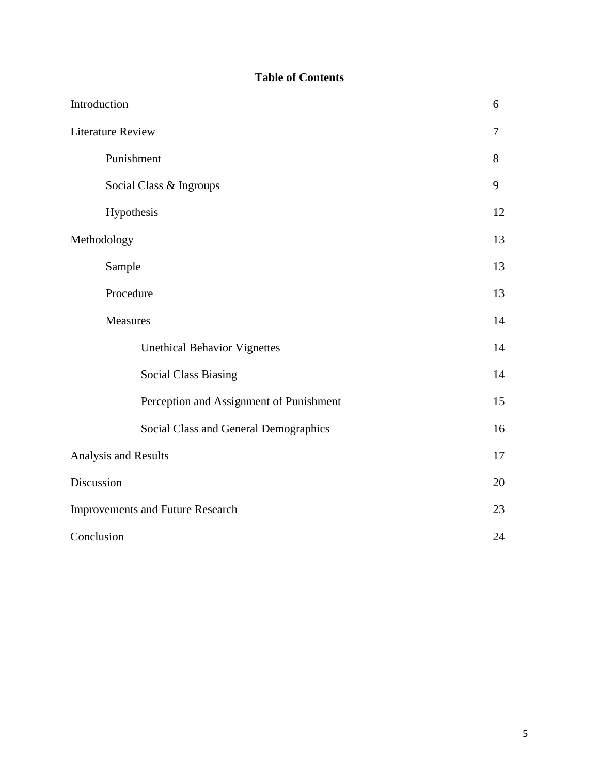# **Table of Contents**

| Introduction                            | 6  |  |  |  |  |
|-----------------------------------------|----|--|--|--|--|
| <b>Literature Review</b>                | 7  |  |  |  |  |
| Punishment                              | 8  |  |  |  |  |
| Social Class & Ingroups                 | 9  |  |  |  |  |
| Hypothesis                              | 12 |  |  |  |  |
| Methodology                             | 13 |  |  |  |  |
| Sample                                  | 13 |  |  |  |  |
| Procedure                               | 13 |  |  |  |  |
| Measures                                | 14 |  |  |  |  |
| <b>Unethical Behavior Vignettes</b>     | 14 |  |  |  |  |
| <b>Social Class Biasing</b>             | 14 |  |  |  |  |
| Perception and Assignment of Punishment | 15 |  |  |  |  |
| Social Class and General Demographics   | 16 |  |  |  |  |
| Analysis and Results                    | 17 |  |  |  |  |
| Discussion                              | 20 |  |  |  |  |
| <b>Improvements and Future Research</b> | 23 |  |  |  |  |
| Conclusion                              |    |  |  |  |  |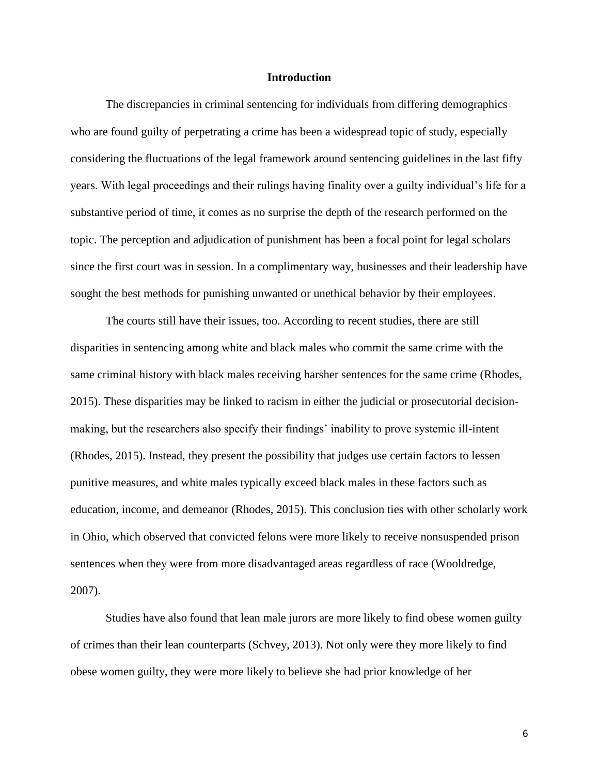#### **Introduction**

The discrepancies in criminal sentencing for individuals from differing demographics who are found guilty of perpetrating a crime has been a widespread topic of study, especially considering the fluctuations of the legal framework around sentencing guidelines in the last fifty years. With legal proceedings and their rulings having finality over a guilty individual's life for a substantive period of time, it comes as no surprise the depth of the research performed on the topic. The perception and adjudication of punishment has been a focal point for legal scholars since the first court was in session. In a complimentary way, businesses and their leadership have sought the best methods for punishing unwanted or unethical behavior by their employees.

The courts still have their issues, too. According to recent studies, there are still disparities in sentencing among white and black males who commit the same crime with the same criminal history with black males receiving harsher sentences for the same crime (Rhodes, 2015). These disparities may be linked to racism in either the judicial or prosecutorial decisionmaking, but the researchers also specify their findings' inability to prove systemic ill-intent (Rhodes, 2015). Instead, they present the possibility that judges use certain factors to lessen punitive measures, and white males typically exceed black males in these factors such as education, income, and demeanor (Rhodes, 2015). This conclusion ties with other scholarly work in Ohio, which observed that convicted felons were more likely to receive nonsuspended prison sentences when they were from more disadvantaged areas regardless of race (Wooldredge, 2007).

Studies have also found that lean male jurors are more likely to find obese women guilty of crimes than their lean counterparts (Schvey, 2013). Not only were they more likely to find obese women guilty, they were more likely to believe she had prior knowledge of her

6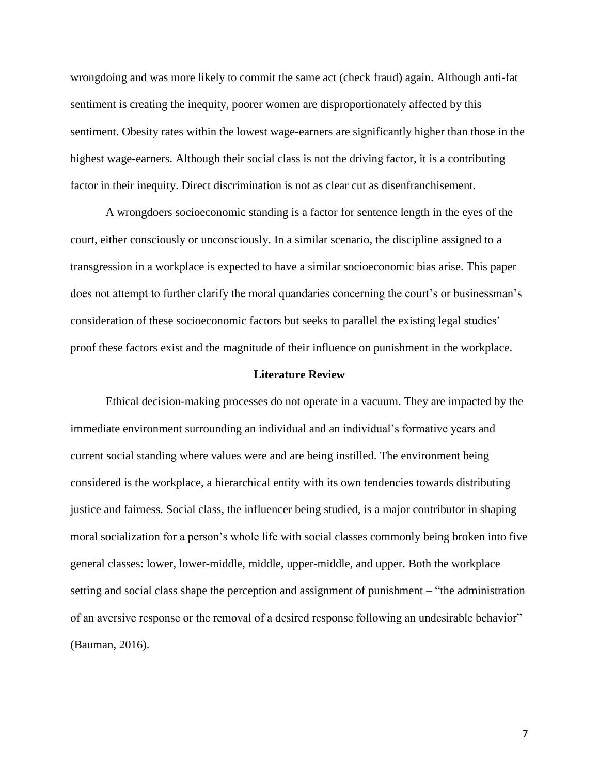wrongdoing and was more likely to commit the same act (check fraud) again. Although anti-fat sentiment is creating the inequity, poorer women are disproportionately affected by this sentiment. Obesity rates within the lowest wage-earners are significantly higher than those in the highest wage-earners. Although their social class is not the driving factor, it is a contributing factor in their inequity. Direct discrimination is not as clear cut as disenfranchisement.

A wrongdoers socioeconomic standing is a factor for sentence length in the eyes of the court, either consciously or unconsciously. In a similar scenario, the discipline assigned to a transgression in a workplace is expected to have a similar socioeconomic bias arise. This paper does not attempt to further clarify the moral quandaries concerning the court's or businessman's consideration of these socioeconomic factors but seeks to parallel the existing legal studies' proof these factors exist and the magnitude of their influence on punishment in the workplace.

#### **Literature Review**

Ethical decision-making processes do not operate in a vacuum. They are impacted by the immediate environment surrounding an individual and an individual's formative years and current social standing where values were and are being instilled. The environment being considered is the workplace, a hierarchical entity with its own tendencies towards distributing justice and fairness. Social class, the influencer being studied, is a major contributor in shaping moral socialization for a person's whole life with social classes commonly being broken into five general classes: lower, lower-middle, middle, upper-middle, and upper. Both the workplace setting and social class shape the perception and assignment of punishment – "the administration of an aversive response or the removal of a desired response following an undesirable behavior" (Bauman, 2016).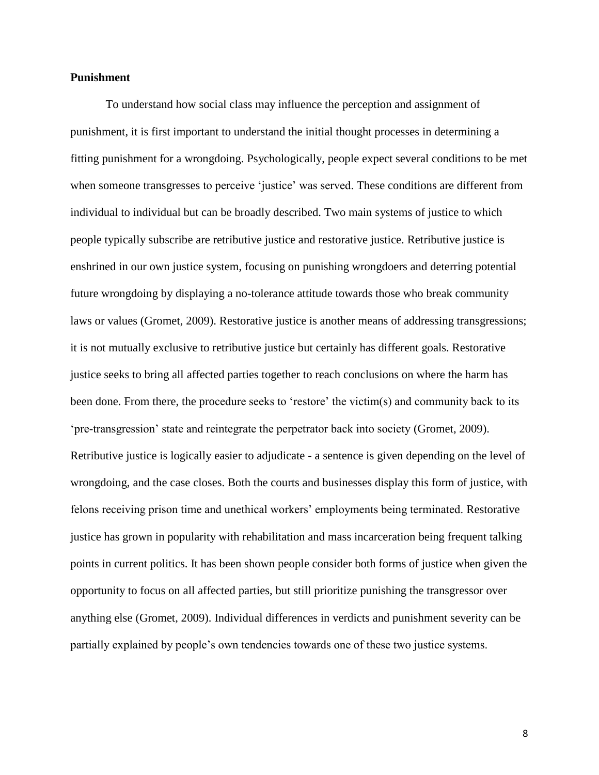#### **Punishment**

To understand how social class may influence the perception and assignment of punishment, it is first important to understand the initial thought processes in determining a fitting punishment for a wrongdoing. Psychologically, people expect several conditions to be met when someone transgresses to perceive 'justice' was served. These conditions are different from individual to individual but can be broadly described. Two main systems of justice to which people typically subscribe are retributive justice and restorative justice. Retributive justice is enshrined in our own justice system, focusing on punishing wrongdoers and deterring potential future wrongdoing by displaying a no-tolerance attitude towards those who break community laws or values (Gromet, 2009). Restorative justice is another means of addressing transgressions; it is not mutually exclusive to retributive justice but certainly has different goals. Restorative justice seeks to bring all affected parties together to reach conclusions on where the harm has been done. From there, the procedure seeks to 'restore' the victim(s) and community back to its 'pre-transgression' state and reintegrate the perpetrator back into society (Gromet, 2009). Retributive justice is logically easier to adjudicate - a sentence is given depending on the level of wrongdoing, and the case closes. Both the courts and businesses display this form of justice, with felons receiving prison time and unethical workers' employments being terminated. Restorative justice has grown in popularity with rehabilitation and mass incarceration being frequent talking points in current politics. It has been shown people consider both forms of justice when given the opportunity to focus on all affected parties, but still prioritize punishing the transgressor over anything else (Gromet, 2009). Individual differences in verdicts and punishment severity can be partially explained by people's own tendencies towards one of these two justice systems.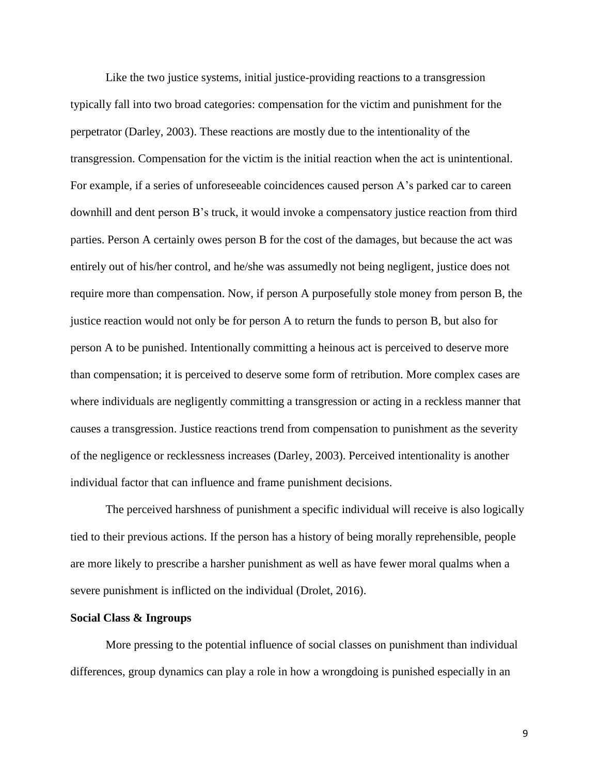Like the two justice systems, initial justice-providing reactions to a transgression typically fall into two broad categories: compensation for the victim and punishment for the perpetrator (Darley, 2003). These reactions are mostly due to the intentionality of the transgression. Compensation for the victim is the initial reaction when the act is unintentional. For example, if a series of unforeseeable coincidences caused person A's parked car to careen downhill and dent person B's truck, it would invoke a compensatory justice reaction from third parties. Person A certainly owes person B for the cost of the damages, but because the act was entirely out of his/her control, and he/she was assumedly not being negligent, justice does not require more than compensation. Now, if person A purposefully stole money from person B, the justice reaction would not only be for person A to return the funds to person B, but also for person A to be punished. Intentionally committing a heinous act is perceived to deserve more than compensation; it is perceived to deserve some form of retribution. More complex cases are where individuals are negligently committing a transgression or acting in a reckless manner that causes a transgression. Justice reactions trend from compensation to punishment as the severity of the negligence or recklessness increases (Darley, 2003). Perceived intentionality is another individual factor that can influence and frame punishment decisions.

The perceived harshness of punishment a specific individual will receive is also logically tied to their previous actions. If the person has a history of being morally reprehensible, people are more likely to prescribe a harsher punishment as well as have fewer moral qualms when a severe punishment is inflicted on the individual (Drolet, 2016).

#### **Social Class & Ingroups**

More pressing to the potential influence of social classes on punishment than individual differences, group dynamics can play a role in how a wrongdoing is punished especially in an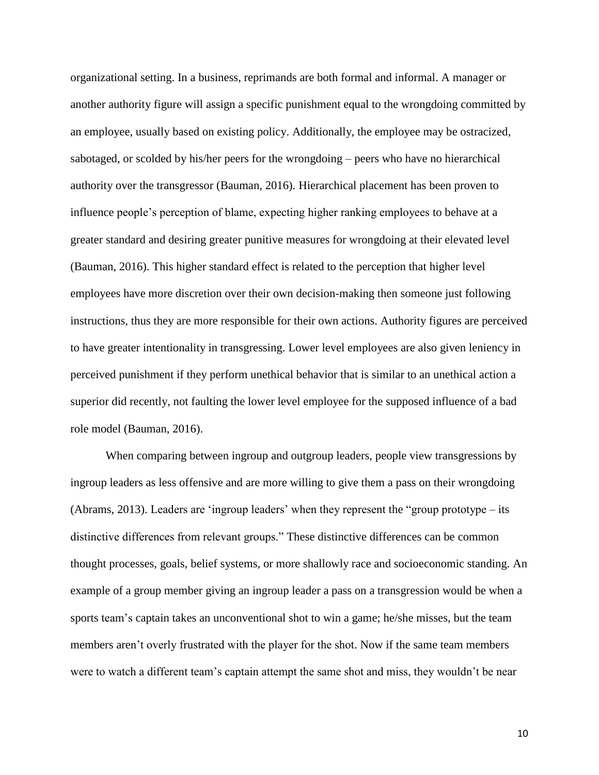organizational setting. In a business, reprimands are both formal and informal. A manager or another authority figure will assign a specific punishment equal to the wrongdoing committed by an employee, usually based on existing policy. Additionally, the employee may be ostracized, sabotaged, or scolded by his/her peers for the wrongdoing – peers who have no hierarchical authority over the transgressor (Bauman, 2016). Hierarchical placement has been proven to influence people's perception of blame, expecting higher ranking employees to behave at a greater standard and desiring greater punitive measures for wrongdoing at their elevated level (Bauman, 2016). This higher standard effect is related to the perception that higher level employees have more discretion over their own decision-making then someone just following instructions, thus they are more responsible for their own actions. Authority figures are perceived to have greater intentionality in transgressing. Lower level employees are also given leniency in perceived punishment if they perform unethical behavior that is similar to an unethical action a superior did recently, not faulting the lower level employee for the supposed influence of a bad role model (Bauman, 2016).

When comparing between ingroup and outgroup leaders, people view transgressions by ingroup leaders as less offensive and are more willing to give them a pass on their wrongdoing (Abrams, 2013). Leaders are 'ingroup leaders' when they represent the "group prototype – its distinctive differences from relevant groups." These distinctive differences can be common thought processes, goals, belief systems, or more shallowly race and socioeconomic standing. An example of a group member giving an ingroup leader a pass on a transgression would be when a sports team's captain takes an unconventional shot to win a game; he/she misses, but the team members aren't overly frustrated with the player for the shot. Now if the same team members were to watch a different team's captain attempt the same shot and miss, they wouldn't be near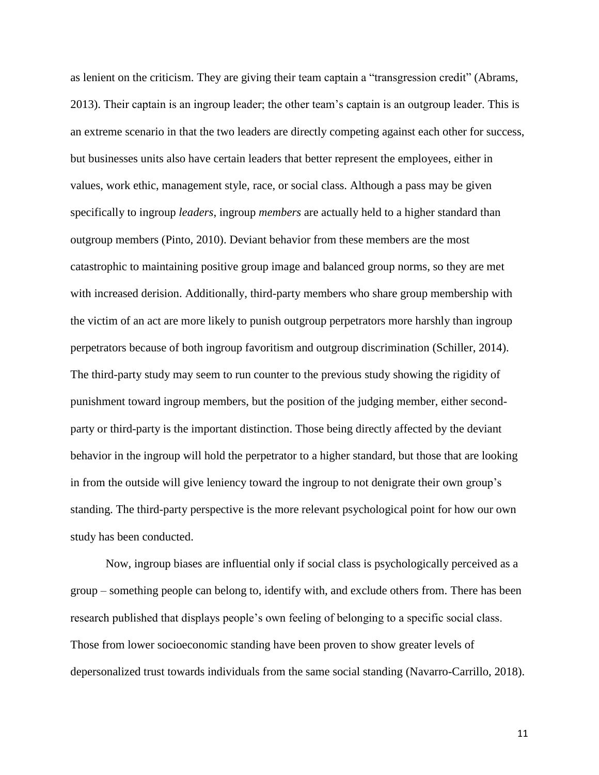as lenient on the criticism. They are giving their team captain a "transgression credit" (Abrams, 2013). Their captain is an ingroup leader; the other team's captain is an outgroup leader. This is an extreme scenario in that the two leaders are directly competing against each other for success, but businesses units also have certain leaders that better represent the employees, either in values, work ethic, management style, race, or social class. Although a pass may be given specifically to ingroup *leaders*, ingroup *members* are actually held to a higher standard than outgroup members (Pinto, 2010). Deviant behavior from these members are the most catastrophic to maintaining positive group image and balanced group norms, so they are met with increased derision. Additionally, third-party members who share group membership with the victim of an act are more likely to punish outgroup perpetrators more harshly than ingroup perpetrators because of both ingroup favoritism and outgroup discrimination (Schiller, 2014). The third-party study may seem to run counter to the previous study showing the rigidity of punishment toward ingroup members, but the position of the judging member, either secondparty or third-party is the important distinction. Those being directly affected by the deviant behavior in the ingroup will hold the perpetrator to a higher standard, but those that are looking in from the outside will give leniency toward the ingroup to not denigrate their own group's standing. The third-party perspective is the more relevant psychological point for how our own study has been conducted.

Now, ingroup biases are influential only if social class is psychologically perceived as a group – something people can belong to, identify with, and exclude others from. There has been research published that displays people's own feeling of belonging to a specific social class. Those from lower socioeconomic standing have been proven to show greater levels of depersonalized trust towards individuals from the same social standing (Navarro-Carrillo, 2018).

11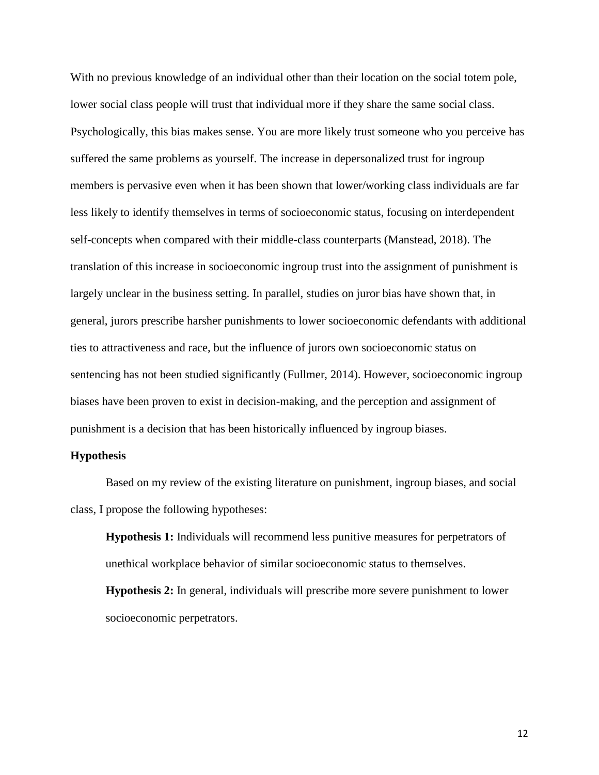With no previous knowledge of an individual other than their location on the social totem pole, lower social class people will trust that individual more if they share the same social class. Psychologically, this bias makes sense. You are more likely trust someone who you perceive has suffered the same problems as yourself. The increase in depersonalized trust for ingroup members is pervasive even when it has been shown that lower/working class individuals are far less likely to identify themselves in terms of socioeconomic status, focusing on interdependent self-concepts when compared with their middle-class counterparts (Manstead, 2018). The translation of this increase in socioeconomic ingroup trust into the assignment of punishment is largely unclear in the business setting. In parallel, studies on juror bias have shown that, in general, jurors prescribe harsher punishments to lower socioeconomic defendants with additional ties to attractiveness and race, but the influence of jurors own socioeconomic status on sentencing has not been studied significantly (Fullmer, 2014). However, socioeconomic ingroup biases have been proven to exist in decision-making, and the perception and assignment of punishment is a decision that has been historically influenced by ingroup biases.

#### **Hypothesis**

Based on my review of the existing literature on punishment, ingroup biases, and social class, I propose the following hypotheses:

**Hypothesis 1:** Individuals will recommend less punitive measures for perpetrators of unethical workplace behavior of similar socioeconomic status to themselves.

**Hypothesis 2:** In general, individuals will prescribe more severe punishment to lower socioeconomic perpetrators.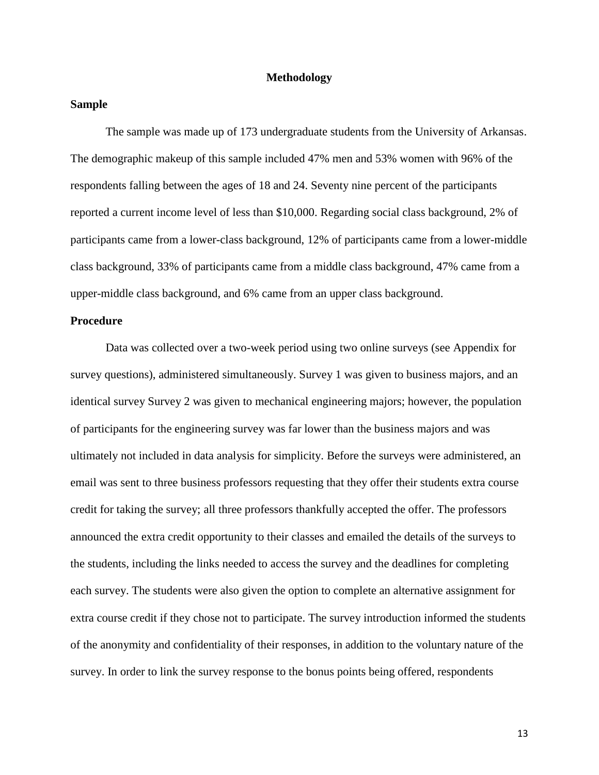#### **Methodology**

#### **Sample**

The sample was made up of 173 undergraduate students from the University of Arkansas. The demographic makeup of this sample included 47% men and 53% women with 96% of the respondents falling between the ages of 18 and 24. Seventy nine percent of the participants reported a current income level of less than \$10,000. Regarding social class background, 2% of participants came from a lower-class background, 12% of participants came from a lower-middle class background, 33% of participants came from a middle class background, 47% came from a upper-middle class background, and 6% came from an upper class background.

#### **Procedure**

Data was collected over a two-week period using two online surveys (see Appendix for survey questions), administered simultaneously. Survey 1 was given to business majors, and an identical survey Survey 2 was given to mechanical engineering majors; however, the population of participants for the engineering survey was far lower than the business majors and was ultimately not included in data analysis for simplicity. Before the surveys were administered, an email was sent to three business professors requesting that they offer their students extra course credit for taking the survey; all three professors thankfully accepted the offer. The professors announced the extra credit opportunity to their classes and emailed the details of the surveys to the students, including the links needed to access the survey and the deadlines for completing each survey. The students were also given the option to complete an alternative assignment for extra course credit if they chose not to participate. The survey introduction informed the students of the anonymity and confidentiality of their responses, in addition to the voluntary nature of the survey. In order to link the survey response to the bonus points being offered, respondents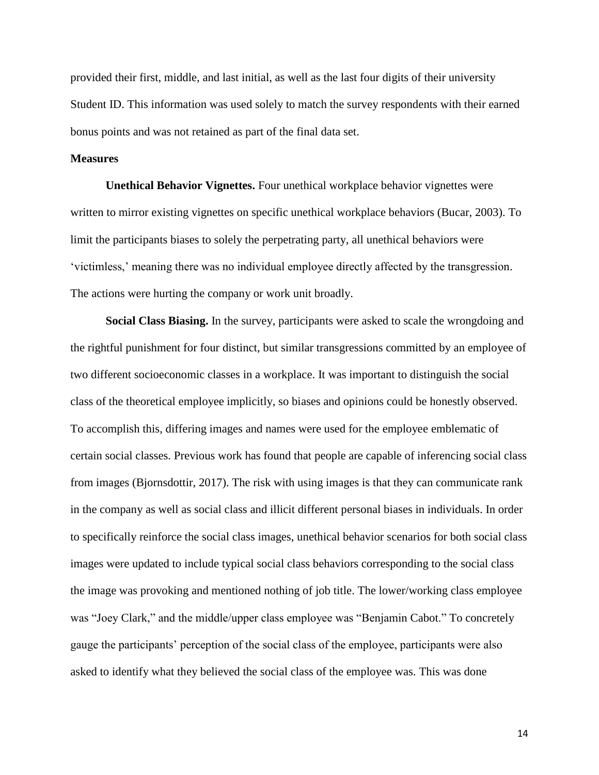provided their first, middle, and last initial, as well as the last four digits of their university Student ID. This information was used solely to match the survey respondents with their earned bonus points and was not retained as part of the final data set.

#### **Measures**

**Unethical Behavior Vignettes.** Four unethical workplace behavior vignettes were written to mirror existing vignettes on specific unethical workplace behaviors (Bucar, 2003). To limit the participants biases to solely the perpetrating party, all unethical behaviors were 'victimless,' meaning there was no individual employee directly affected by the transgression. The actions were hurting the company or work unit broadly.

**Social Class Biasing.** In the survey, participants were asked to scale the wrongdoing and the rightful punishment for four distinct, but similar transgressions committed by an employee of two different socioeconomic classes in a workplace. It was important to distinguish the social class of the theoretical employee implicitly, so biases and opinions could be honestly observed. To accomplish this, differing images and names were used for the employee emblematic of certain social classes. Previous work has found that people are capable of inferencing social class from images (Bjornsdottir, 2017). The risk with using images is that they can communicate rank in the company as well as social class and illicit different personal biases in individuals. In order to specifically reinforce the social class images, unethical behavior scenarios for both social class images were updated to include typical social class behaviors corresponding to the social class the image was provoking and mentioned nothing of job title. The lower/working class employee was "Joey Clark," and the middle/upper class employee was "Benjamin Cabot." To concretely gauge the participants' perception of the social class of the employee, participants were also asked to identify what they believed the social class of the employee was. This was done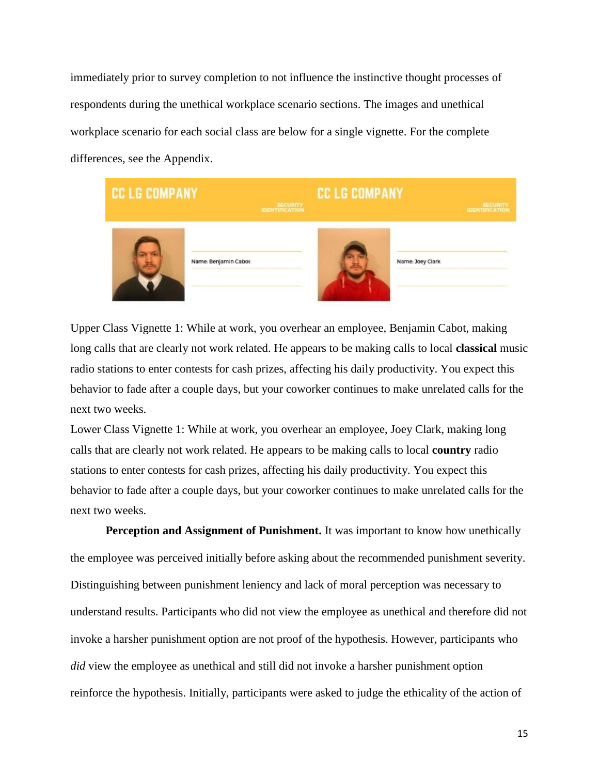immediately prior to survey completion to not influence the instinctive thought processes of respondents during the unethical workplace scenario sections. The images and unethical workplace scenario for each social class are below for a single vignette. For the complete differences, see the Appendix.



Upper Class Vignette 1: While at work, you overhear an employee, Benjamin Cabot, making long calls that are clearly not work related. He appears to be making calls to local **classical** music radio stations to enter contests for cash prizes, affecting his daily productivity. You expect this behavior to fade after a couple days, but your coworker continues to make unrelated calls for the next two weeks.

Lower Class Vignette 1: While at work, you overhear an employee, Joey Clark, making long calls that are clearly not work related. He appears to be making calls to local **country** radio stations to enter contests for cash prizes, affecting his daily productivity. You expect this behavior to fade after a couple days, but your coworker continues to make unrelated calls for the next two weeks.

**Perception and Assignment of Punishment.** It was important to know how unethically the employee was perceived initially before asking about the recommended punishment severity. Distinguishing between punishment leniency and lack of moral perception was necessary to understand results. Participants who did not view the employee as unethical and therefore did not invoke a harsher punishment option are not proof of the hypothesis. However, participants who *did* view the employee as unethical and still did not invoke a harsher punishment option reinforce the hypothesis. Initially, participants were asked to judge the ethicality of the action of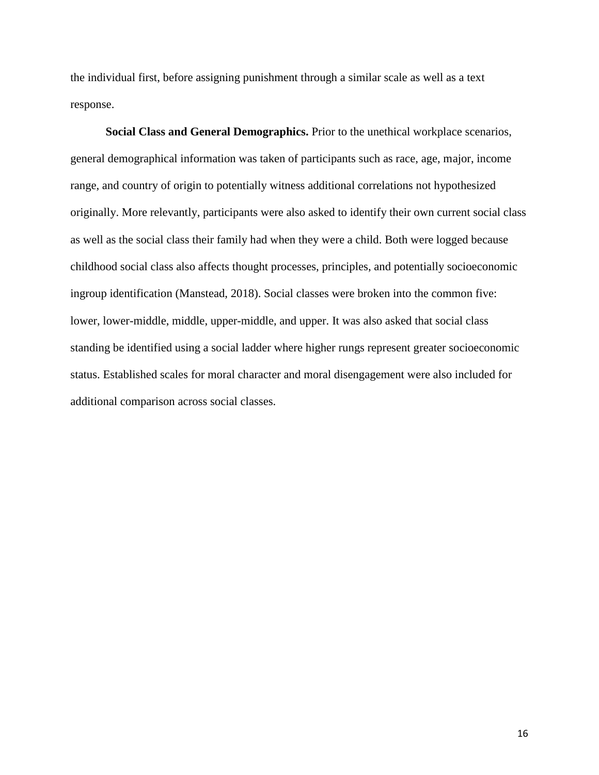the individual first, before assigning punishment through a similar scale as well as a text response.

**Social Class and General Demographics.** Prior to the unethical workplace scenarios, general demographical information was taken of participants such as race, age, major, income range, and country of origin to potentially witness additional correlations not hypothesized originally. More relevantly, participants were also asked to identify their own current social class as well as the social class their family had when they were a child. Both were logged because childhood social class also affects thought processes, principles, and potentially socioeconomic ingroup identification (Manstead, 2018). Social classes were broken into the common five: lower, lower-middle, middle, upper-middle, and upper. It was also asked that social class standing be identified using a social ladder where higher rungs represent greater socioeconomic status. Established scales for moral character and moral disengagement were also included for additional comparison across social classes.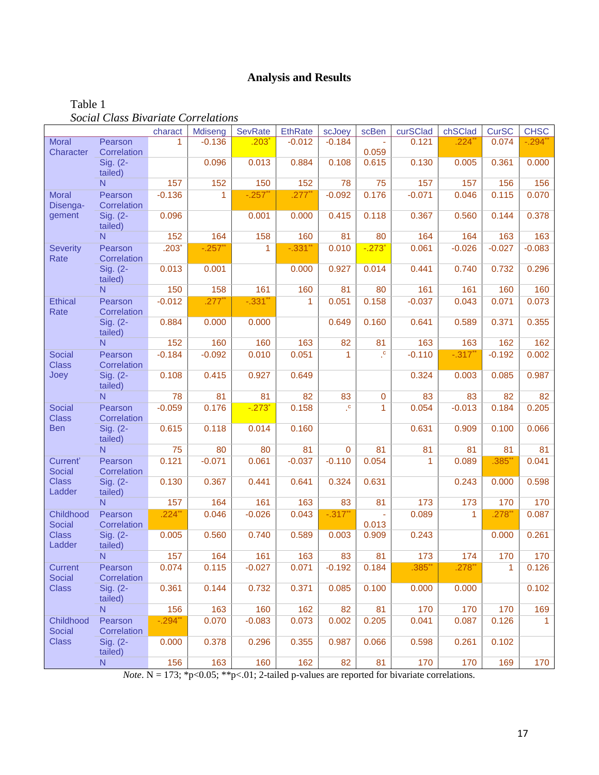# **Analysis and Results**

|                                 |                        | charact    | Mdiseng      | <b>SevRate</b>       | <b>EthRate</b> | scJoey               | scBen                | curSClad     | chSClad          | <b>CurSC</b> | <b>CHSC</b>  |
|---------------------------------|------------------------|------------|--------------|----------------------|----------------|----------------------|----------------------|--------------|------------------|--------------|--------------|
| Moral                           | Pearson                | 1          | $-0.136$     | .203                 | $-0.012$       | $-0.184$             |                      | 0.121        | .224 $^{\prime}$ | 0.074        | $-.294$ *    |
| Character                       | Correlation            |            |              |                      |                |                      | 0.059                |              |                  |              |              |
|                                 | Sig. (2-<br>tailed)    |            | 0.096        | 0.013                | 0.884          | 0.108                | 0.615                | 0.130        | 0.005            | 0.361        | 0.000        |
|                                 | N                      | 157        | 152          | 150                  | 152            | 78                   | 75                   | 157          | 157              | 156          | 156          |
| <b>Moral</b><br>Disenga-        | Pearson<br>Correlation | $-0.136$   | $\mathbf{1}$ | $-.257$ *            | $.277$ $*$     | $-0.092$             | 0.176                | $-0.071$     | 0.046            | 0.115        | 0.070        |
| gement                          | Sig. (2-<br>tailed)    | 0.096      |              | 0.001                | 0.000          | 0.415                | 0.118                | 0.367        | 0.560            | 0.144        | 0.378        |
|                                 | N                      | 152        | 164          | 158                  | 160            | 81                   | 80                   | 164          | 164              | 163          | 163          |
| <b>Severity</b><br>Rate         | Pearson<br>Correlation | $.203*$    | $-.257$ **   | 1                    | $-.331$ **     | 0.010                | $-.273$ <sup>*</sup> | 0.061        | $-0.026$         | $-0.027$     | $-0.083$     |
|                                 | Sig. (2-<br>tailed)    | 0.013      | 0.001        |                      | 0.000          | 0.927                | 0.014                | 0.441        | 0.740            | 0.732        | 0.296        |
|                                 | N                      | 150        | 158          | 161                  | 160            | 81                   | 80                   | 161          | 161              | 160          | 160          |
| <b>Ethical</b><br>Rate          | Pearson<br>Correlation | $-0.012$   | $.277$ **    | $-.331"$             | 1              | 0.051                | 0.158                | $-0.037$     | 0.043            | 0.071        | 0.073        |
|                                 | Sig. (2-<br>tailed)    | 0.884      | 0.000        | 0.000                |                | 0.649                | 0.160                | 0.641        | 0.589            | 0.371        | 0.355        |
|                                 | N                      | 152        | 160          | 160                  | 163            | 82                   | 81                   | 163          | 163              | 162          | 162          |
| <b>Social</b><br><b>Class</b>   | Pearson<br>Correlation | $-0.184$   | $-0.092$     | 0.010                | 0.051          | $\mathbf{1}$         | $\cdot^{\mathrm{c}}$ | $-0.110$     | $-.317"$         | $-0.192$     | 0.002        |
| Joey                            | Sig. (2-<br>tailed)    | 0.108      | 0.415        | 0.927                | 0.649          |                      |                      | 0.324        | 0.003            | 0.085        | 0.987        |
|                                 | $\mathsf{N}$           | 78         | 81           | 81                   | 82             | 83                   | $\mathbf 0$          | 83           | 83               | 82           | 82           |
| <b>Social</b><br><b>Class</b>   | Pearson<br>Correlation | $-0.059$   | 0.176        | $-.273$ <sup>*</sup> | 0.158          | $\cdot^{\mathrm{c}}$ | $\mathbf{1}$         | 0.054        | $-0.013$         | 0.184        | 0.205        |
| <b>Ben</b>                      | Sig. (2-<br>tailed)    | 0.615      | 0.118        | 0.014                | 0.160          |                      |                      | 0.631        | 0.909            | 0.100        | 0.066        |
|                                 | $\mathsf{N}$           | 75         | 80           | 80                   | 81             | $\overline{0}$       | 81                   | 81           | 81               | 81           | 81           |
| Current'<br><b>Social</b>       | Pearson<br>Correlation | 0.121      | $-0.071$     | 0.061                | $-0.037$       | $-0.110$             | 0.054                | $\mathbf{1}$ | 0.089            | $.385*$      | 0.041        |
| <b>Class</b><br>Ladder          | Sig. (2-<br>tailed)    | 0.130      | 0.367        | 0.441                | 0.641          | 0.324                | 0.631                |              | 0.243            | 0.000        | 0.598        |
|                                 | N                      | 157        | 164          | 161                  | 163            | 83                   | 81                   | 173          | 173              | 170          | 170          |
| Childhood<br><b>Social</b>      | Pearson<br>Correlation | $.224$ **  | 0.046        | $-0.026$             | 0.043          | $-.317$ **           | $\omega$<br>0.013    | 0.089        | $\mathbf{1}$     | .278         | 0.087        |
| <b>Class</b><br>Ladder          | Sig. (2-<br>tailed)    | 0.005      | 0.560        | 0.740                | 0.589          | 0.003                | 0.909                | 0.243        |                  | 0.000        | 0.261        |
|                                 | $\mathsf{N}$           | 157        | 164          | 161                  | 163            | 83                   | 81                   | 173          | 174              | 170          | 170          |
| <b>Current</b><br><b>Social</b> | Pearson<br>Correlation | 0.074      | 0.115        | $-0.027$             | 0.071          | $-0.192$             | 0.184                | $.385*$      | $.278*$          | $\mathbf{1}$ | 0.126        |
| <b>Class</b>                    | Sig. (2-<br>tailed)    | 0.361      | 0.144        | 0.732                | 0.371          | 0.085                | 0.100                | 0.000        | 0.000            |              | 0.102        |
|                                 | N.                     | 156        | 163          | 160                  | 162            | 82                   | 81                   | 170          | 170              | 170          | 169          |
| Childhood<br><b>Social</b>      | Pearson<br>Correlation | $-.294$ ** | 0.070        | $-0.083$             | 0.073          | 0.002                | 0.205                | 0.041        | 0.087            | 0.126        | $\mathbf{1}$ |
| <b>Class</b>                    | Sig. (2-<br>tailed)    | 0.000      | 0.378        | 0.296                | 0.355          | 0.987                | 0.066                | 0.598        | 0.261            | 0.102        |              |
|                                 | N.                     | 156        | 163          | 160                  | 162            | 82                   | 81                   | 170          | 170              | 169          | 170          |

Table 1 *Social Class Bivariate Correlations*

*Note*.  $N = 173$ ; \*p<0.05; \*\*p<.01; 2-tailed p-values are reported for bivariate correlations.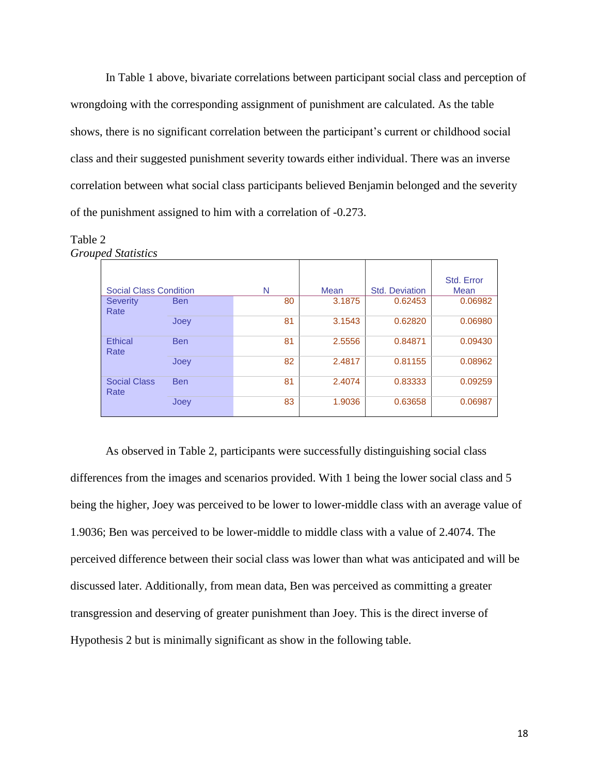In Table 1 above, bivariate correlations between participant social class and perception of wrongdoing with the corresponding assignment of punishment are calculated. As the table shows, there is no significant correlation between the participant's current or childhood social class and their suggested punishment severity towards either individual. There was an inverse correlation between what social class participants believed Benjamin belonged and the severity of the punishment assigned to him with a correlation of -0.273.

#### Table 2 *Grouped Statistics*

|                               |            |    |        |                       | Std. Error |
|-------------------------------|------------|----|--------|-----------------------|------------|
| <b>Social Class Condition</b> |            | N  | Mean   | <b>Std. Deviation</b> |            |
| <b>Severity</b><br>Rate       | <b>Ben</b> | 80 | 3.1875 | 0.62453               | 0.06982    |
|                               | Joey       | 81 | 3.1543 | 0.62820               | 0.06980    |
| Ethical<br>Rate               | <b>Ben</b> | 81 | 2.5556 | 0.84871               | 0.09430    |
|                               | Joey       | 82 | 2.4817 | 0.81155               | 0.08962    |
| <b>Social Class</b><br>Rate   | <b>Ben</b> | 81 | 2.4074 | 0.83333               | 0.09259    |
|                               | Joey       | 83 | 1.9036 | 0.63658               | 0.06987    |

As observed in Table 2, participants were successfully distinguishing social class differences from the images and scenarios provided. With 1 being the lower social class and 5 being the higher, Joey was perceived to be lower to lower-middle class with an average value of 1.9036; Ben was perceived to be lower-middle to middle class with a value of 2.4074. The perceived difference between their social class was lower than what was anticipated and will be discussed later. Additionally, from mean data, Ben was perceived as committing a greater transgression and deserving of greater punishment than Joey. This is the direct inverse of Hypothesis 2 but is minimally significant as show in the following table.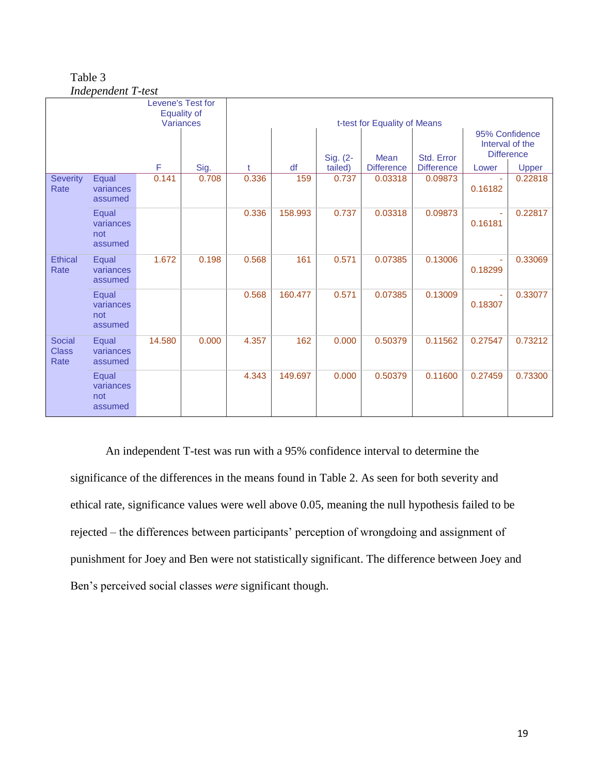| Table 3                   |
|---------------------------|
| <b>Independent T-test</b> |

|                                       |                                      |           | Levene's Test for<br><b>Equality of</b> | t-test for Equality of Means |         |          |                   |                   |                                                        |              |  |
|---------------------------------------|--------------------------------------|-----------|-----------------------------------------|------------------------------|---------|----------|-------------------|-------------------|--------------------------------------------------------|--------------|--|
|                                       |                                      | Variances |                                         |                              |         | Sig. (2- | Mean              | Std. Error        | 95% Confidence<br>Interval of the<br><b>Difference</b> |              |  |
|                                       |                                      | F         | Sig.                                    |                              | df      | tailed)  | <b>Difference</b> | <b>Difference</b> | Lower                                                  | <b>Upper</b> |  |
| <b>Severity</b><br>Rate               | Equal<br>variances<br>assumed        | 0.141     | 0.708                                   | 0.336                        | 159     | 0.737    | 0.03318           | 0.09873           | 0.16182                                                | 0.22818      |  |
|                                       | Equal<br>variances<br>not<br>assumed |           |                                         | 0.336                        | 158.993 | 0.737    | 0.03318           | 0.09873           | 0.16181                                                | 0.22817      |  |
| <b>Ethical</b><br>Rate                | Equal<br>variances<br>assumed        | 1.672     | 0.198                                   | 0.568                        | 161     | 0.571    | 0.07385           | 0.13006           | 0.18299                                                | 0.33069      |  |
|                                       | Equal<br>variances<br>not<br>assumed |           |                                         | 0.568                        | 160.477 | 0.571    | 0.07385           | 0.13009           | 0.18307                                                | 0.33077      |  |
| <b>Social</b><br><b>Class</b><br>Rate | Equal<br>variances<br>assumed        | 14.580    | 0.000                                   | 4.357                        | 162     | 0.000    | 0.50379           | 0.11562           | 0.27547                                                | 0.73212      |  |
|                                       | Equal<br>variances<br>not<br>assumed |           |                                         | 4.343                        | 149.697 | 0.000    | 0.50379           | 0.11600           | 0.27459                                                | 0.73300      |  |

An independent T-test was run with a 95% confidence interval to determine the significance of the differences in the means found in Table 2. As seen for both severity and ethical rate, significance values were well above 0.05, meaning the null hypothesis failed to be rejected – the differences between participants' perception of wrongdoing and assignment of punishment for Joey and Ben were not statistically significant. The difference between Joey and Ben's perceived social classes *were* significant though.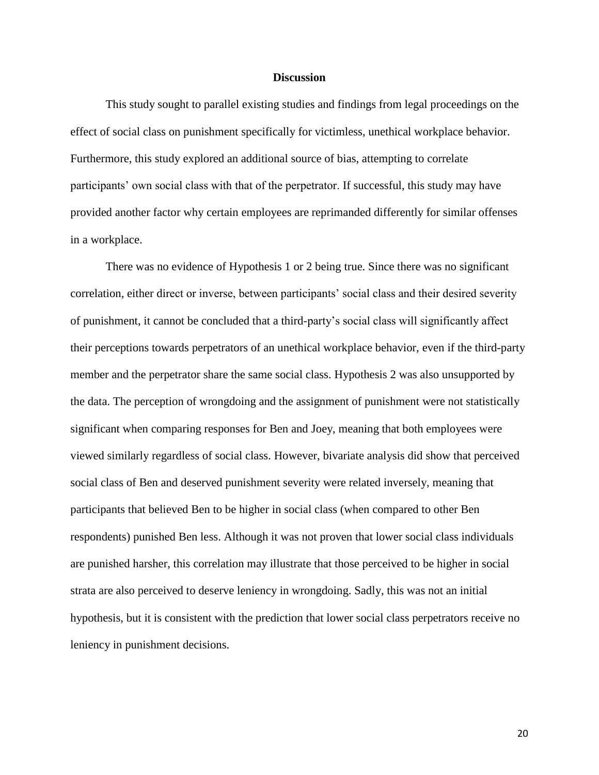#### **Discussion**

This study sought to parallel existing studies and findings from legal proceedings on the effect of social class on punishment specifically for victimless, unethical workplace behavior. Furthermore, this study explored an additional source of bias, attempting to correlate participants' own social class with that of the perpetrator. If successful, this study may have provided another factor why certain employees are reprimanded differently for similar offenses in a workplace.

There was no evidence of Hypothesis 1 or 2 being true. Since there was no significant correlation, either direct or inverse, between participants' social class and their desired severity of punishment, it cannot be concluded that a third-party's social class will significantly affect their perceptions towards perpetrators of an unethical workplace behavior, even if the third-party member and the perpetrator share the same social class. Hypothesis 2 was also unsupported by the data. The perception of wrongdoing and the assignment of punishment were not statistically significant when comparing responses for Ben and Joey, meaning that both employees were viewed similarly regardless of social class. However, bivariate analysis did show that perceived social class of Ben and deserved punishment severity were related inversely, meaning that participants that believed Ben to be higher in social class (when compared to other Ben respondents) punished Ben less. Although it was not proven that lower social class individuals are punished harsher, this correlation may illustrate that those perceived to be higher in social strata are also perceived to deserve leniency in wrongdoing. Sadly, this was not an initial hypothesis, but it is consistent with the prediction that lower social class perpetrators receive no leniency in punishment decisions.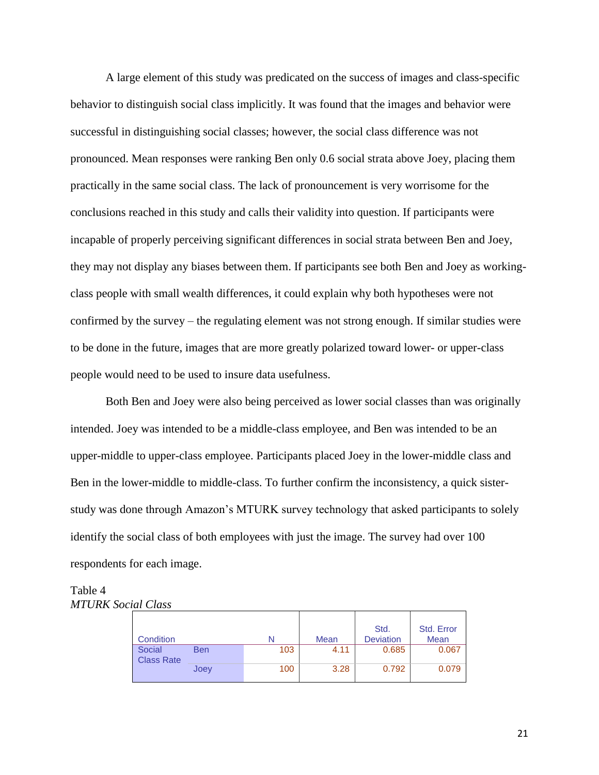A large element of this study was predicated on the success of images and class-specific behavior to distinguish social class implicitly. It was found that the images and behavior were successful in distinguishing social classes; however, the social class difference was not pronounced. Mean responses were ranking Ben only 0.6 social strata above Joey, placing them practically in the same social class. The lack of pronouncement is very worrisome for the conclusions reached in this study and calls their validity into question. If participants were incapable of properly perceiving significant differences in social strata between Ben and Joey, they may not display any biases between them. If participants see both Ben and Joey as workingclass people with small wealth differences, it could explain why both hypotheses were not confirmed by the survey – the regulating element was not strong enough. If similar studies were to be done in the future, images that are more greatly polarized toward lower- or upper-class people would need to be used to insure data usefulness.

Both Ben and Joey were also being perceived as lower social classes than was originally intended. Joey was intended to be a middle-class employee, and Ben was intended to be an upper-middle to upper-class employee. Participants placed Joey in the lower-middle class and Ben in the lower-middle to middle-class. To further confirm the inconsistency, a quick sisterstudy was done through Amazon's MTURK survey technology that asked participants to solely identify the social class of both employees with just the image. The survey had over 100 respondents for each image.

#### Table 4 *MTURK Social Class*

|                             |            |     |      | Std.             | Std. Error |
|-----------------------------|------------|-----|------|------------------|------------|
| Condition                   |            |     | Mean | <b>Deviation</b> | Mean       |
| Social<br><b>Class Rate</b> | <b>Ben</b> | 103 | 4.11 | 0.685            | 0.067      |
|                             | Joey       | 100 | 3.28 | 0.792            | 0.079      |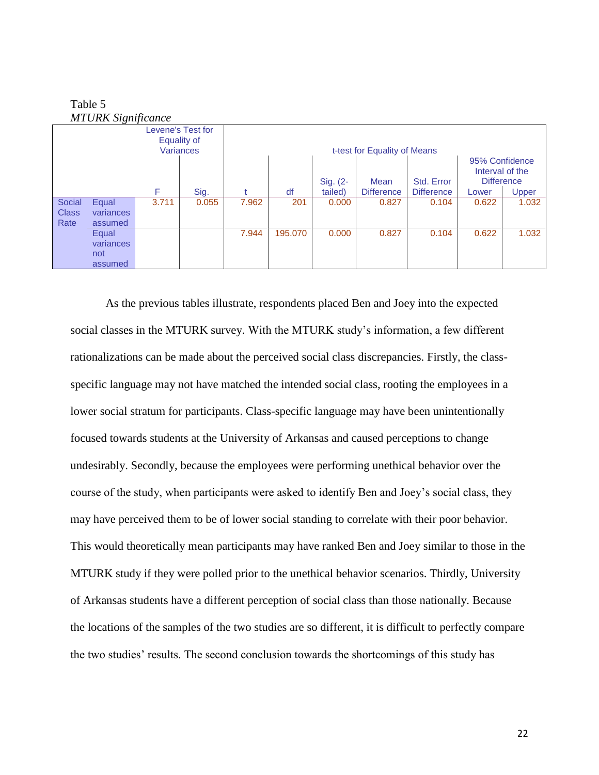Table 5 *MTURK Significance*

|                                                      | <b>MIUNA</b> Significance |       |       |       |         |                     |                              |                                 |                                                                 |       |
|------------------------------------------------------|---------------------------|-------|-------|-------|---------|---------------------|------------------------------|---------------------------------|-----------------------------------------------------------------|-------|
| Levene's Test for<br>Equality of<br><b>Variances</b> |                           |       |       |       |         |                     | t-test for Equality of Means |                                 |                                                                 |       |
| F<br>Sig.                                            |                           |       |       |       | df      | Sig. (2-<br>tailed) | Mean<br><b>Difference</b>    | Std. Error<br><b>Difference</b> | 95% Confidence<br>Interval of the<br><b>Difference</b><br>Lower | Upper |
| Social                                               | Equal                     | 3.711 | 0.055 | 7.962 | 201     | 0.000               | 0.827                        | 0.104                           | 0.622                                                           | 1.032 |
| <b>Class</b>                                         | variances                 |       |       |       |         |                     |                              |                                 |                                                                 |       |
| Rate                                                 | assumed                   |       |       |       |         |                     |                              |                                 |                                                                 |       |
|                                                      | Equal                     |       |       | 7.944 | 195,070 | 0.000               | 0.827                        | 0.104                           | 0.622                                                           | 1.032 |
|                                                      | variances                 |       |       |       |         |                     |                              |                                 |                                                                 |       |
|                                                      | not                       |       |       |       |         |                     |                              |                                 |                                                                 |       |
|                                                      | assumed                   |       |       |       |         |                     |                              |                                 |                                                                 |       |

As the previous tables illustrate, respondents placed Ben and Joey into the expected social classes in the MTURK survey. With the MTURK study's information, a few different rationalizations can be made about the perceived social class discrepancies. Firstly, the classspecific language may not have matched the intended social class, rooting the employees in a lower social stratum for participants. Class-specific language may have been unintentionally focused towards students at the University of Arkansas and caused perceptions to change undesirably. Secondly, because the employees were performing unethical behavior over the course of the study, when participants were asked to identify Ben and Joey's social class, they may have perceived them to be of lower social standing to correlate with their poor behavior. This would theoretically mean participants may have ranked Ben and Joey similar to those in the MTURK study if they were polled prior to the unethical behavior scenarios. Thirdly, University of Arkansas students have a different perception of social class than those nationally. Because the locations of the samples of the two studies are so different, it is difficult to perfectly compare the two studies' results. The second conclusion towards the shortcomings of this study has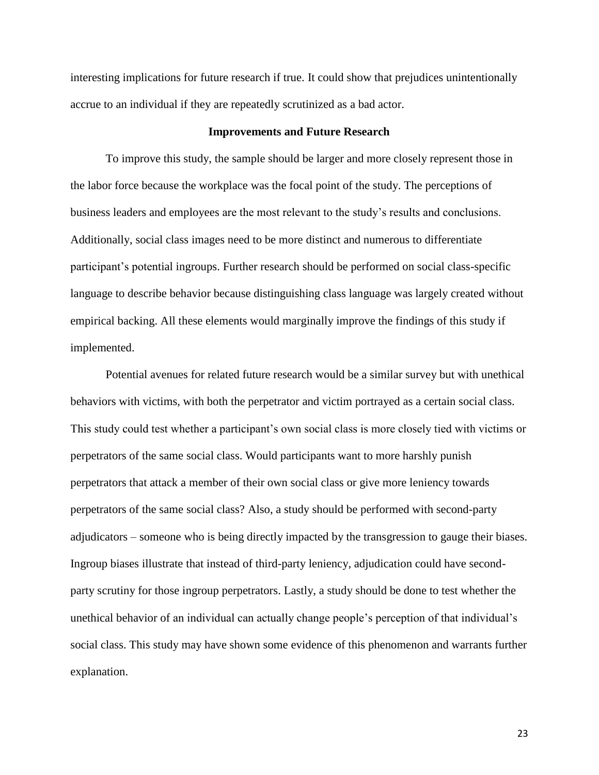interesting implications for future research if true. It could show that prejudices unintentionally accrue to an individual if they are repeatedly scrutinized as a bad actor.

#### **Improvements and Future Research**

To improve this study, the sample should be larger and more closely represent those in the labor force because the workplace was the focal point of the study. The perceptions of business leaders and employees are the most relevant to the study's results and conclusions. Additionally, social class images need to be more distinct and numerous to differentiate participant's potential ingroups. Further research should be performed on social class-specific language to describe behavior because distinguishing class language was largely created without empirical backing. All these elements would marginally improve the findings of this study if implemented.

Potential avenues for related future research would be a similar survey but with unethical behaviors with victims, with both the perpetrator and victim portrayed as a certain social class. This study could test whether a participant's own social class is more closely tied with victims or perpetrators of the same social class. Would participants want to more harshly punish perpetrators that attack a member of their own social class or give more leniency towards perpetrators of the same social class? Also, a study should be performed with second-party adjudicators – someone who is being directly impacted by the transgression to gauge their biases. Ingroup biases illustrate that instead of third-party leniency, adjudication could have secondparty scrutiny for those ingroup perpetrators. Lastly, a study should be done to test whether the unethical behavior of an individual can actually change people's perception of that individual's social class. This study may have shown some evidence of this phenomenon and warrants further explanation.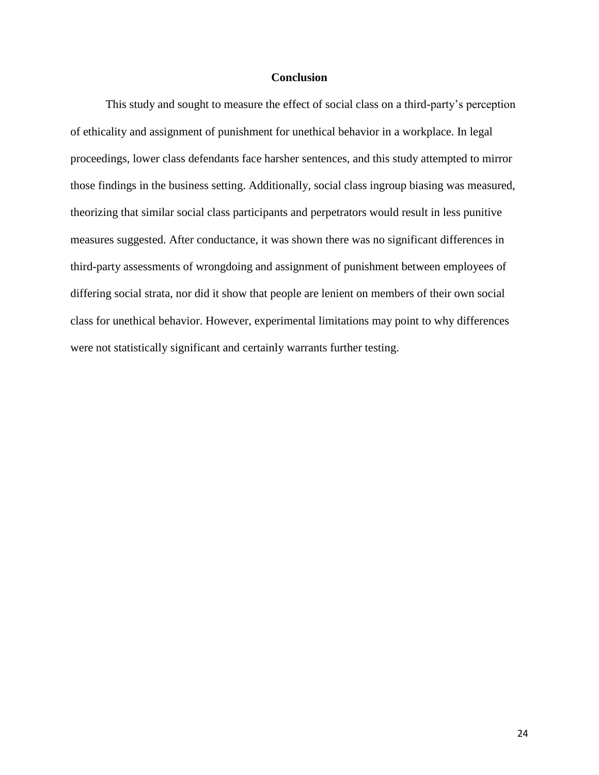#### **Conclusion**

This study and sought to measure the effect of social class on a third-party's perception of ethicality and assignment of punishment for unethical behavior in a workplace. In legal proceedings, lower class defendants face harsher sentences, and this study attempted to mirror those findings in the business setting. Additionally, social class ingroup biasing was measured, theorizing that similar social class participants and perpetrators would result in less punitive measures suggested. After conductance, it was shown there was no significant differences in third-party assessments of wrongdoing and assignment of punishment between employees of differing social strata, nor did it show that people are lenient on members of their own social class for unethical behavior. However, experimental limitations may point to why differences were not statistically significant and certainly warrants further testing.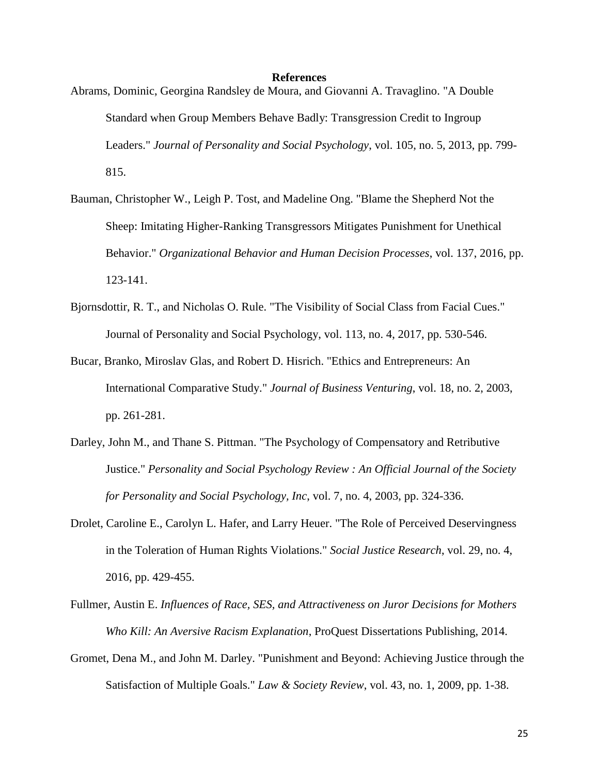#### **References**

- Abrams, Dominic, Georgina Randsley de Moura, and Giovanni A. Travaglino. "A Double Standard when Group Members Behave Badly: Transgression Credit to Ingroup Leaders." *Journal of Personality and Social Psychology*, vol. 105, no. 5, 2013, pp. 799- 815.
- Bauman, Christopher W., Leigh P. Tost, and Madeline Ong. "Blame the Shepherd Not the Sheep: Imitating Higher-Ranking Transgressors Mitigates Punishment for Unethical Behavior." *Organizational Behavior and Human Decision Processes*, vol. 137, 2016, pp. 123-141.
- Bjornsdottir, R. T., and Nicholas O. Rule. "The Visibility of Social Class from Facial Cues." Journal of Personality and Social Psychology, vol. 113, no. 4, 2017, pp. 530-546.
- Bucar, Branko, Miroslav Glas, and Robert D. Hisrich. "Ethics and Entrepreneurs: An International Comparative Study." *Journal of Business Venturing*, vol. 18, no. 2, 2003, pp. 261-281.
- Darley, John M., and Thane S. Pittman. "The Psychology of Compensatory and Retributive Justice." *Personality and Social Psychology Review : An Official Journal of the Society for Personality and Social Psychology, Inc*, vol. 7, no. 4, 2003, pp. 324-336.
- Drolet, Caroline E., Carolyn L. Hafer, and Larry Heuer. "The Role of Perceived Deservingness in the Toleration of Human Rights Violations." *Social Justice Research*, vol. 29, no. 4, 2016, pp. 429-455.
- Fullmer, Austin E. *Influences of Race, SES, and Attractiveness on Juror Decisions for Mothers Who Kill: An Aversive Racism Explanation*, ProQuest Dissertations Publishing, 2014.
- Gromet, Dena M., and John M. Darley. "Punishment and Beyond: Achieving Justice through the Satisfaction of Multiple Goals." *Law & Society Review*, vol. 43, no. 1, 2009, pp. 1-38.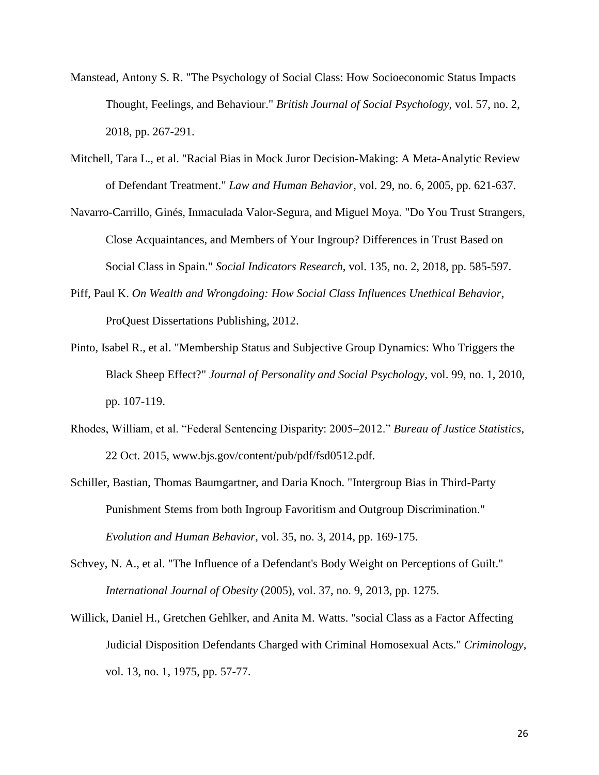- Manstead, Antony S. R. "The Psychology of Social Class: How Socioeconomic Status Impacts Thought, Feelings, and Behaviour." *British Journal of Social Psychology*, vol. 57, no. 2, 2018, pp. 267-291.
- Mitchell, Tara L., et al. "Racial Bias in Mock Juror Decision-Making: A Meta-Analytic Review of Defendant Treatment." *Law and Human Behavior*, vol. 29, no. 6, 2005, pp. 621-637.
- Navarro-Carrillo, Ginés, Inmaculada Valor-Segura, and Miguel Moya. "Do You Trust Strangers, Close Acquaintances, and Members of Your Ingroup? Differences in Trust Based on Social Class in Spain." *Social Indicators Research*, vol. 135, no. 2, 2018, pp. 585-597.
- Piff, Paul K. *On Wealth and Wrongdoing: How Social Class Influences Unethical Behavior*, ProQuest Dissertations Publishing, 2012.
- Pinto, Isabel R., et al. "Membership Status and Subjective Group Dynamics: Who Triggers the Black Sheep Effect?" *Journal of Personality and Social Psychology*, vol. 99, no. 1, 2010, pp. 107-119.
- Rhodes, William, et al. "Federal Sentencing Disparity: 2005–2012." *Bureau of Justice Statistics*, 22 Oct. 2015, www.bjs.gov/content/pub/pdf/fsd0512.pdf.
- Schiller, Bastian, Thomas Baumgartner, and Daria Knoch. "Intergroup Bias in Third-Party Punishment Stems from both Ingroup Favoritism and Outgroup Discrimination." *Evolution and Human Behavior*, vol. 35, no. 3, 2014, pp. 169-175.
- Schvey, N. A., et al. "The Influence of a Defendant's Body Weight on Perceptions of Guilt." *International Journal of Obesity* (2005), vol. 37, no. 9, 2013, pp. 1275.
- Willick, Daniel H., Gretchen Gehlker, and Anita M. Watts. "social Class as a Factor Affecting Judicial Disposition Defendants Charged with Criminal Homosexual Acts." *Criminology*, vol. 13, no. 1, 1975, pp. 57-77.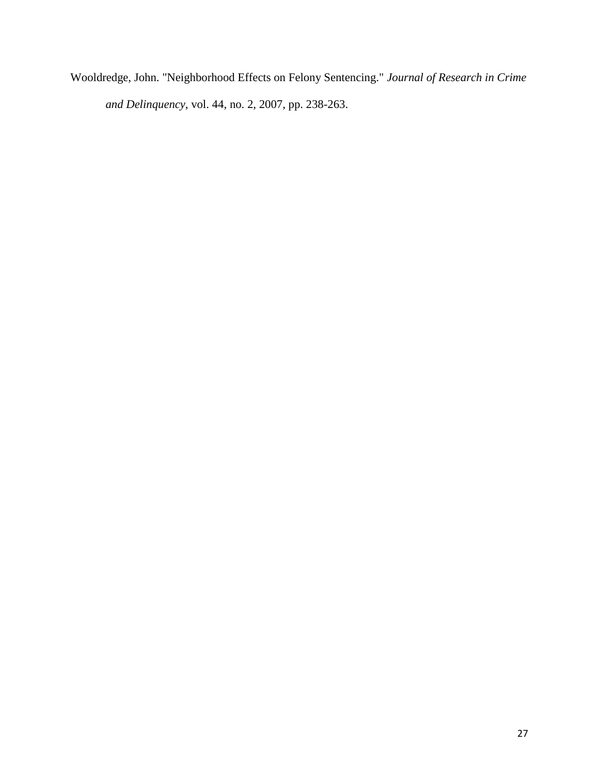Wooldredge, John. "Neighborhood Effects on Felony Sentencing." *Journal of Research in Crime and Delinquency*, vol. 44, no. 2, 2007, pp. 238-263.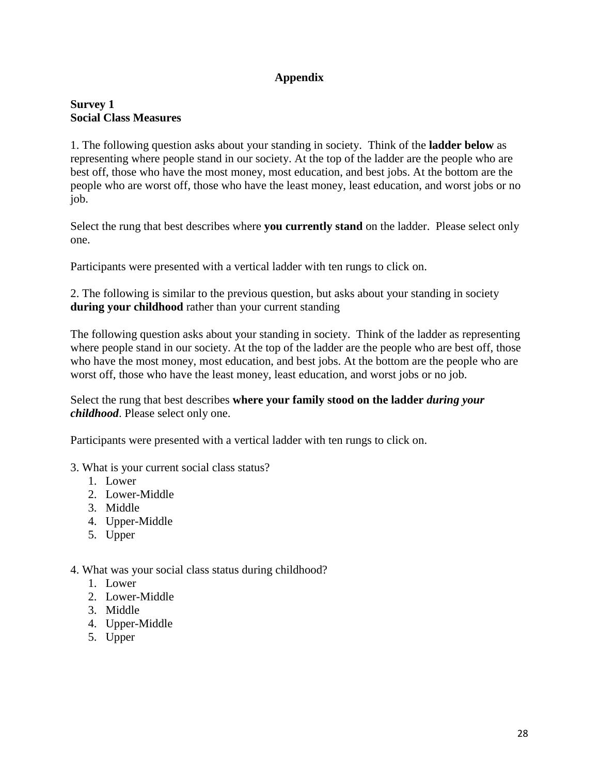# **Appendix**

# **Survey 1 Social Class Measures**

1. The following question asks about your standing in society. Think of the **ladder below** as representing where people stand in our society. At the top of the ladder are the people who are best off, those who have the most money, most education, and best jobs. At the bottom are the people who are worst off, those who have the least money, least education, and worst jobs or no job.

Select the rung that best describes where **you currently stand** on the ladder. Please select only one.

Participants were presented with a vertical ladder with ten rungs to click on.

2. The following is similar to the previous question, but asks about your standing in society **during your childhood** rather than your current standing

The following question asks about your standing in society. Think of the ladder as representing where people stand in our society. At the top of the ladder are the people who are best off, those who have the most money, most education, and best jobs. At the bottom are the people who are worst off, those who have the least money, least education, and worst jobs or no job.

Select the rung that best describes **where your family stood on the ladder** *during your childhood*. Please select only one.

Participants were presented with a vertical ladder with ten rungs to click on.

- 3. What is your current social class status?
	- 1. Lower
	- 2. Lower-Middle
	- 3. Middle
	- 4. Upper-Middle
	- 5. Upper

# 4. What was your social class status during childhood?

- 1. Lower
- 2. Lower-Middle
- 3. Middle
- 4. Upper-Middle
- 5. Upper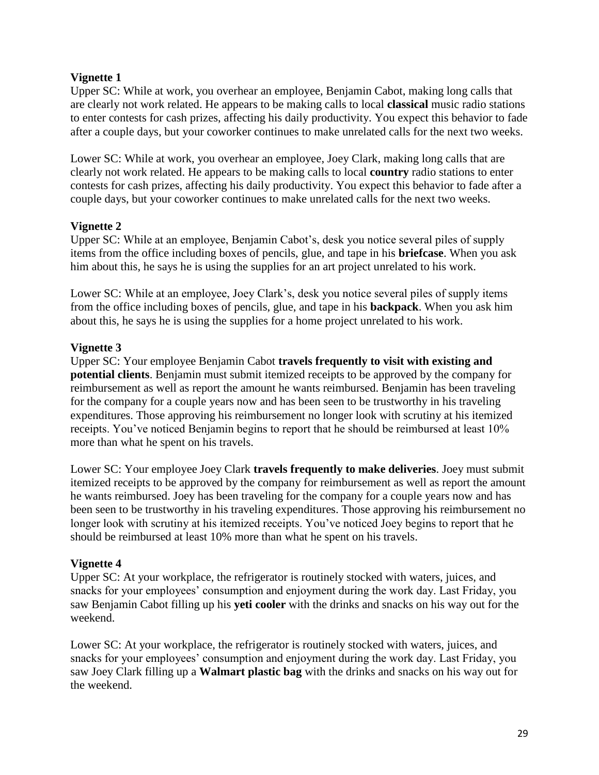# **Vignette 1**

Upper SC: While at work, you overhear an employee, Benjamin Cabot, making long calls that are clearly not work related. He appears to be making calls to local **classical** music radio stations to enter contests for cash prizes, affecting his daily productivity. You expect this behavior to fade after a couple days, but your coworker continues to make unrelated calls for the next two weeks.

Lower SC: While at work, you overhear an employee, Joey Clark, making long calls that are clearly not work related. He appears to be making calls to local **country** radio stations to enter contests for cash prizes, affecting his daily productivity. You expect this behavior to fade after a couple days, but your coworker continues to make unrelated calls for the next two weeks.

# **Vignette 2**

Upper SC: While at an employee, Benjamin Cabot's, desk you notice several piles of supply items from the office including boxes of pencils, glue, and tape in his **briefcase**. When you ask him about this, he says he is using the supplies for an art project unrelated to his work.

Lower SC: While at an employee, Joey Clark's, desk you notice several piles of supply items from the office including boxes of pencils, glue, and tape in his **backpack**. When you ask him about this, he says he is using the supplies for a home project unrelated to his work.

# **Vignette 3**

Upper SC: Your employee Benjamin Cabot **travels frequently to visit with existing and potential clients**. Benjamin must submit itemized receipts to be approved by the company for reimbursement as well as report the amount he wants reimbursed. Benjamin has been traveling for the company for a couple years now and has been seen to be trustworthy in his traveling expenditures. Those approving his reimbursement no longer look with scrutiny at his itemized receipts. You've noticed Benjamin begins to report that he should be reimbursed at least 10% more than what he spent on his travels.

Lower SC: Your employee Joey Clark **travels frequently to make deliveries**. Joey must submit itemized receipts to be approved by the company for reimbursement as well as report the amount he wants reimbursed. Joey has been traveling for the company for a couple years now and has been seen to be trustworthy in his traveling expenditures. Those approving his reimbursement no longer look with scrutiny at his itemized receipts. You've noticed Joey begins to report that he should be reimbursed at least 10% more than what he spent on his travels.

# **Vignette 4**

Upper SC: At your workplace, the refrigerator is routinely stocked with waters, juices, and snacks for your employees' consumption and enjoyment during the work day. Last Friday, you saw Benjamin Cabot filling up his **yeti cooler** with the drinks and snacks on his way out for the weekend.

Lower SC: At your workplace, the refrigerator is routinely stocked with waters, juices, and snacks for your employees' consumption and enjoyment during the work day. Last Friday, you saw Joey Clark filling up a **Walmart plastic bag** with the drinks and snacks on his way out for the weekend.